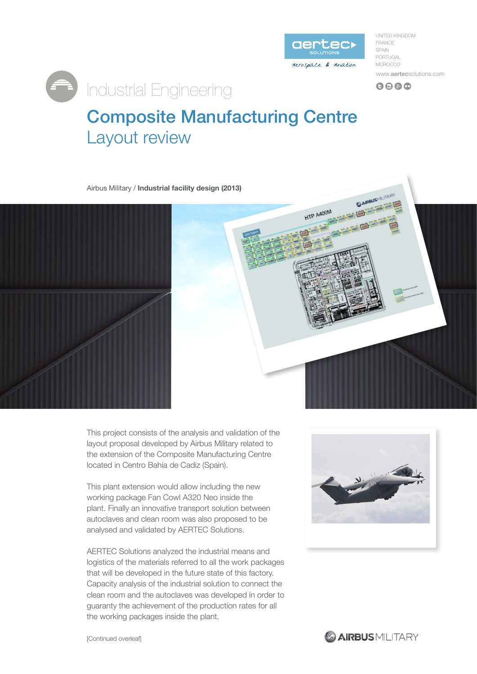

UNITED KINGDOM FRANCE SPAIN PORTUGAL **MOROCCO** www.aertecsolutions.com



## **Composite Manufacturing Centre** Layout review

Airbus Military / Industrial facility design (2013)

**Engineering** 



This project consists of the analysis and validation of the layout proposal developed by Airbus Military related to the extension of the Composite Manufacturing Centre located in Centro Bahia de Cadiz (Spain).

This plant extension would allow including the new working package Fan Cowl A320 Neo inside the plant. Finally an innovative transport solution between autoclaves and clean room was also proposed to be analysed and validated by AERTEC Solutions.

AERTEC Solutions analyzed the industrial means and logistics of the materials referred to all the work packages that will be developed in the future state of this factory. Capacity analysis of the industrial solution to connect the clean room and the autoclaves was developed in order to guaranty the achievement of the production rates for all the working packages inside the plant.